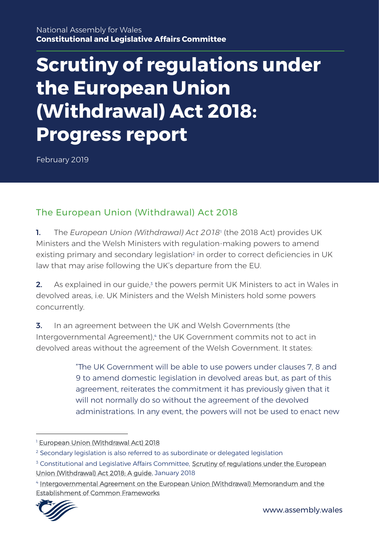# **Scrutiny of regulations under the European Union (Withdrawal) Act 2018: Progress report**

February 2019

# The European Union (Withdrawal) Act 2018

1. The *European Union (Withdrawal) Act 2018*<sup>1</sup> (the 2018 Act) provides UK Ministers and the Welsh Ministers with regulation-making powers to amend existing primary and secondary legislation<sup>2</sup> in order to correct deficiencies in UK law that may arise following the UK's departure from the EU.

**2.** As explained in our guide,<sup>3</sup> the powers permit UK Ministers to act in Wales in devolved areas, i.e. UK Ministers and the Welsh Ministers hold some powers concurrently.

3. In an agreement between the UK and Welsh Governments (the Intergovernmental Agreement), 4 the UK Government commits not to act in devolved areas without the agreement of the Welsh Government. It states:

> "The UK Government will be able to use powers under clauses 7, 8 and 9 to amend domestic legislation in devolved areas but, as part of this agreement, reiterates the commitment it has previously given that it will not normally do so without the agreement of the devolved administrations. In any event, the powers will not be used to enact new

<sup>4</sup> [Intergovernmental Agreement on the European Union \(Withdrawal\) Memorandum and the](https://assets.publishing.service.gov.uk/government/uploads/system/uploads/attachment_data/file/702623/2018-04-24_UKG-DA_IGA_and_Memorandum.pdf)  [Establishment of Common Frameworks](https://assets.publishing.service.gov.uk/government/uploads/system/uploads/attachment_data/file/702623/2018-04-24_UKG-DA_IGA_and_Memorandum.pdf)



<sup>&</sup>lt;sup>1</sup> [European Union \(Withdrawal Act\) 2018](http://www.legislation.gov.uk/ukpga/2018/16/contents/enacted/data.htm)

<sup>&</sup>lt;sup>2</sup> Secondary legislation is also referred to as subordinate or delegated legislation

<sup>&</sup>lt;sup>3</sup> Constitutional and Legislative Affairs Committee, **Scrutiny of regulations under the European** [Union \(Withdrawal\) Act 2018: A guide,](http://www.senedd.assembly.wales/documents/s83757/Scrutiny%20of%20regulations%20made%20under%20the%20European%20Union%20Withdrawal%20Act%202018%20A%20guide.pdf) January 2018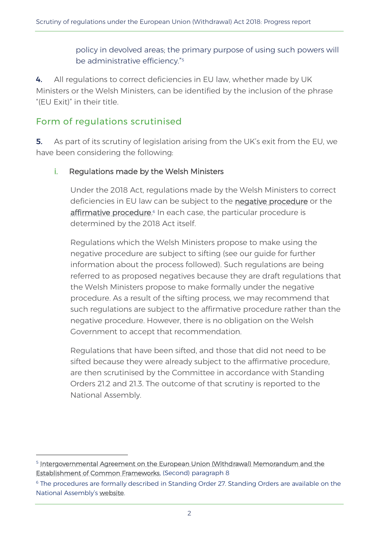policy in devolved areas; the primary purpose of using such powers will be administrative efficiency." 5

4. All regulations to correct deficiencies in EU law, whether made by UK Ministers or the Welsh Ministers, can be identified by the inclusion of the phrase "(EU Exit)" in their title.

### Form of regulations scrutinised

1

5. As part of its scrutiny of legislation arising from the UK's exit from the EU, we have been considering the following:

#### i. Regulations made by the Welsh Ministers

Under the 2018 Act, regulations made by the Welsh Ministers to correct deficiencies in EU law can be subject to the [negative procedure](http://senedd.assembly.wales/mgIssueHistoryHome.aspx?IId=14828) or the [affirmative procedure.](http://senedd.assembly.wales/mgIssueHistoryHome.aspx?IId=14829)<sup>6</sup> In each case, the particular procedure is determined by the 2018 Act itself.

Regulations which the Welsh Ministers propose to make using the negative procedure are subject to sifting (see our guide for further information about the process followed). Such regulations are being referred to as proposed negatives because they are draft regulations that the Welsh Ministers propose to make formally under the negative procedure. As a result of the sifting process, we may recommend that such regulations are subject to the affirmative procedure rather than the negative procedure. However, there is no obligation on the Welsh Government to accept that recommendation.

Regulations that have been sifted, and those that did not need to be sifted because they were already subject to the affirmative procedure, are then scrutinised by the Committee in accordance with Standing Orders 21.2 and 21.3. The outcome of that scrutiny is reported to the National Assembly.

<sup>5</sup> [Intergovernmental Agreement on the European Union \(Withdrawal\) Memorandum and the](https://assets.publishing.service.gov.uk/government/uploads/system/uploads/attachment_data/file/702623/2018-04-24_UKG-DA_IGA_and_Memorandum.pdf)  [Establishment of Common Frameworks,](https://assets.publishing.service.gov.uk/government/uploads/system/uploads/attachment_data/file/702623/2018-04-24_UKG-DA_IGA_and_Memorandum.pdf) (Second) paragraph 8

<sup>&</sup>lt;sup>6</sup> The procedures are formally described in Standing Order 27. Standing Orders are available on the National Assembly's [website.](http://www.assembly.wales/en/bus-home/Pages/bus-assembly-guidance.aspx)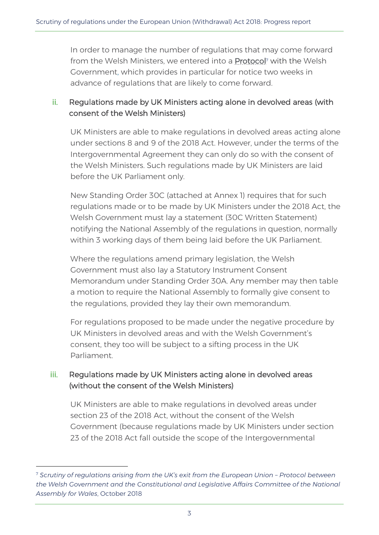In order to manage the number of regulations that may come forward from the Welsh Ministers, we entered into a [Protocol](http://www.senedd.assembly.wales/documents/s80117/Protocol%20-%20October%202018.pdf)<sup>7</sup> with the Welsh Government, which provides in particular for notice two weeks in advance of regulations that are likely to come forward.

#### ii. Regulations made by UK Ministers acting alone in devolved areas (with consent of the Welsh Ministers)

UK Ministers are able to make regulations in devolved areas acting alone under sections 8 and 9 of the 2018 Act. However, under the terms of the Intergovernmental Agreement they can only do so with the consent of the Welsh Ministers. Such regulations made by UK Ministers are laid before the UK Parliament only.

New Standing Order 30C (attached at Annex 1) requires that for such regulations made or to be made by UK Ministers under the 2018 Act, the Welsh Government must lay a statement (30C Written Statement) notifying the National Assembly of the regulations in question, normally within 3 working days of them being laid before the UK Parliament.

Where the regulations amend primary legislation, the Welsh Government must also lay a Statutory Instrument Consent Memorandum under Standing Order 30A. Any member may then table a motion to require the National Assembly to formally give consent to the regulations, provided they lay their own memorandum.

For regulations proposed to be made under the negative procedure by UK Ministers in devolved areas and with the Welsh Government's consent, they too will be subject to a sifting process in the UK Parliament.

#### iii. Regulations made by UK Ministers acting alone in devolved areas (without the consent of the Welsh Ministers)

UK Ministers are able to make regulations in devolved areas under section 23 of the 2018 Act, without the consent of the Welsh Government (because regulations made by UK Ministers under section 23 of the 2018 Act fall outside the scope of the Intergovernmental

<sup>7</sup> *Scrutiny of regulations arising from the UK's exit from the European Union – Protocol between the Welsh Government and the Constitutional and Legislative Affairs Committee of the National Assembly for Wales*, October 2018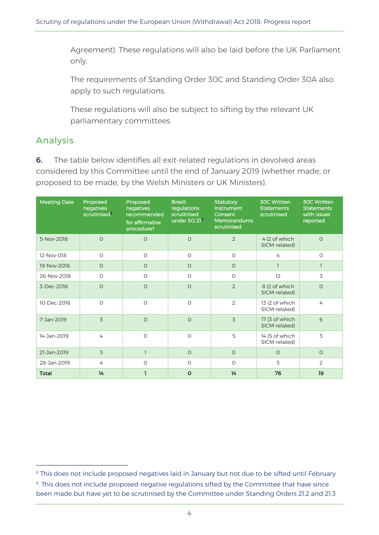Agreement). These regulations will also be laid before the UK Parliament only.

The requirements of Standing Order 30C and Standing Order 30A also apply to such regulations.

These regulations will also be subject to sifting by the relevant UK parliamentary committees.

## Analysis

-

**6.** The table below identifies all exit-related regulations in devolved areas considered by this Committee until the end of January 2019 (whether made, or proposed to be made, by the Welsh Ministers or UK Ministers).

| <b>Meeting Date</b> | Proposed<br>negatives<br>scrutinised <sup>8</sup> | Proposed<br>negatives<br>recommended<br>for affirmative<br>procedure? | <b>Brexit</b><br>regulations<br>scrutinised<br>under SO 21 <sup>9</sup> | <b>Statutory</b><br>Instrument<br>Consent<br><b>Memorandums</b><br>scrutinised | <b>30C Written</b><br><b>Statements</b><br>scrutinised | <b>30C Written</b><br><b>Statements</b><br>with issues<br>reported |
|---------------------|---------------------------------------------------|-----------------------------------------------------------------------|-------------------------------------------------------------------------|--------------------------------------------------------------------------------|--------------------------------------------------------|--------------------------------------------------------------------|
| 5-Nov-2018          | $\circ$                                           | $\circ$                                                               | $\Omega$                                                                | $\overline{2}$                                                                 | 4 (2 of which<br>SICM-related)                         | $\circ$                                                            |
| 12-Nov-018          | $\circ$                                           | $\circ$                                                               | $\circ$                                                                 | $\circ$                                                                        | 4                                                      | $\circ$                                                            |
| 19-Nov-2018         | $\circ$                                           | $\circ$                                                               | $\circ$                                                                 | $\circ$                                                                        | $\mathbb{I}$                                           | $\mathsf{I}$                                                       |
| 26-Nov-2018         | $\circ$                                           | $\circ$                                                               | $\Omega$                                                                | $\circ$                                                                        | 12                                                     | 3                                                                  |
| 3-Dec-2018          | $\circ$                                           | $\circ$                                                               | $\circ$                                                                 | $\overline{2}$                                                                 | 8 (2 of which<br>SICM-related)                         | $\circ$                                                            |
| 10-Dec-2018         | $\circ$                                           | $\circ$                                                               | $\Omega$                                                                | $\overline{2}$                                                                 | 13 (2 of which<br>SICM-related)                        | 4                                                                  |
| 7-Jan-2019          | 3                                                 | $\Omega$                                                              | $\Omega$                                                                | 3                                                                              | 17 (3 of which<br>SICM-related)                        | 6                                                                  |
| 14-Jan-2019         | 4                                                 | $\circ$                                                               | $\circ$                                                                 | 5                                                                              | 14 (5 of which<br>SICM-related)                        | 3                                                                  |
| 21-Jan-2019         | 3                                                 | $\overline{\phantom{a}}$                                              | $\Omega$                                                                | $\circ$                                                                        | $\Omega$                                               | $\Omega$                                                           |
| 28-Jan-2019         | 4                                                 | $\circ$                                                               | $\circ$                                                                 | $\circ$                                                                        | 3                                                      | $\overline{2}$                                                     |
| <b>Total</b>        | 14                                                | ı                                                                     | $\circ$                                                                 | 14                                                                             | 76                                                     | 19                                                                 |

<sup>&</sup>lt;sup>8</sup> This does not include proposed negatives laid in January but not due to be sifted until February 9 . This does not include proposed negative regulations sifted by the Committee that have since been made but have yet to be scrutinised by the Committee under Standing Orders 21.2 and 21.3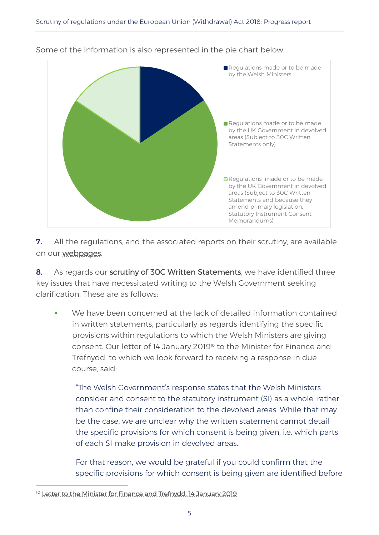

Some of the information is also represented in the pie chart below.

**7.** All the regulations, and the associated reports on their scrutiny, are available on our [webpages.](http://www.assembly.wales/en/bus-home/committees/Pages/Committee-Profile.aspx?cid=434)

8. As regards our scrutiny of 30C Written Statements, we have identified three key issues that have necessitated writing to the Welsh Government seeking clarification. These are as follows:

We have been concerned at the lack of detailed information contained in written statements, particularly as regards identifying the specific provisions within regulations to which the Welsh Ministers are giving consent. Our letter of 14 January 2019<sup>10</sup> to the Minister for Finance and Trefnydd, to which we look forward to receiving a response in due course, said:

"The Welsh Government's response states that the Welsh Ministers consider and consent to the statutory instrument (SI) as a whole, rather than confine their consideration to the devolved areas. While that may be the case, we are unclear why the written statement cannot detail the specific provisions for which consent is being given, i.e. which parts of each SI make provision in devolved areas.

For that reason, we would be grateful if you could confirm that the specific provisions for which consent is being given are identified before

<sup>&</sup>lt;sup>10</sup> [Letter to the Minister for Finance and Trefnydd, 14 January 2019](http://www.senedd.assembly.wales/documents/s83761/Letter%20to%20the%20Minister%20for%20Finance%20and%20Trefnydd%20-%2014%20January%202019.pdf)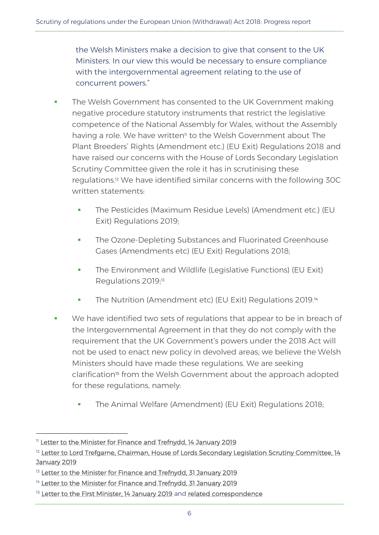the Welsh Ministers make a decision to give that consent to the UK Ministers. In our view this would be necessary to ensure compliance with the intergovernmental agreement relating to the use of concurrent powers."

- The Welsh Government has consented to the UK Government making negative procedure statutory instruments that restrict the legislative competence of the National Assembly for Wales, without the Assembly having a role. We have written<sup>"</sup> to the Welsh Government about The Plant Breeders' Rights (Amendment etc.) (EU Exit) Regulations 2018 and have raised our concerns with the House of Lords Secondary Legislation Scrutiny Committee given the role it has in scrutinising these regulations.<sup>12</sup> We have identified similar concerns with the following 30C written statements:
	- The Pesticides (Maximum Residue Levels) (Amendment etc.) (EU Exit) Regulations 2019;
	- **The Ozone-Depleting Substances and Fluorinated Greenhouse** Gases (Amendments etc) (EU Exit) Regulations 2018;
	- **•** The Environment and Wildlife (Legislative Functions) (EU Exit) Regulations 2019;<sup>13</sup>
	- **The Nutrition (Amendment etc) (EU Exit) Regulations 2019.**<sup>14</sup>
- We have identified two sets of regulations that appear to be in breach of the Intergovernmental Agreement in that they do not comply with the requirement that the UK Government's powers under the 2018 Act will not be used to enact new policy in devolved areas; we believe the Welsh Ministers should have made these regulations. We are seeking clarification<sup>15</sup> from the Welsh Government about the approach adopted for these regulations, namely:
	- **The Animal Welfare (Amendment) (EU Exit) Regulations 2018;**

<sup>&</sup>lt;sup>11</sup> [Letter to the Minister for Finance and Trefnydd, 14 January 2019](http://www.senedd.assembly.wales/documents/s83760/Letter%20to%20the%20Minister%20for%20Finance%20and%20Trefnydd%20-%2014%20January%202019.pdf)

<sup>&</sup>lt;sup>12</sup> Letter to Lord Trefgarne, Chairman, House of Lords Secondary Legislation Scrutiny Committee, 14 [January 2019](http://www.senedd.assembly.wales/documents/s83763/Letter%20to%20the%20Secondary%20Legislation%20Scrutiny%20Committee%20-%2014%20January%202019.pdf)

<sup>&</sup>lt;sup>13</sup> [Letter to the Minister for Finance and Trefnydd, 31 January 2019](http://www.senedd.assembly.wales/documents/s83871/Letter%20from%20the%20Minister%20for%20Finance%20and%20Trefnydd%20-%20January%202019.pdf)

<sup>&</sup>lt;sup>14</sup> [Letter to the Minister for Finance and Trefnydd, 31 January 2019](http://senedd.assembly.wales/documents/s83870/Letter%20from%20the%20Minister%20for%20Finance%20and%20Trefnydd%20-%20January%202019.pdf)

<sup>&</sup>lt;sup>15</sup> [Letter to the First Minister, 14 January 2019](http://senedd.assembly.wales/documents/s83762/Letter%20to%20the%20First%20Minister%20-%2014%20January%202019.pdf) and [related correspondence](http://senedd.assembly.wales/mgIssueHistoryHome.aspx?IId=23369)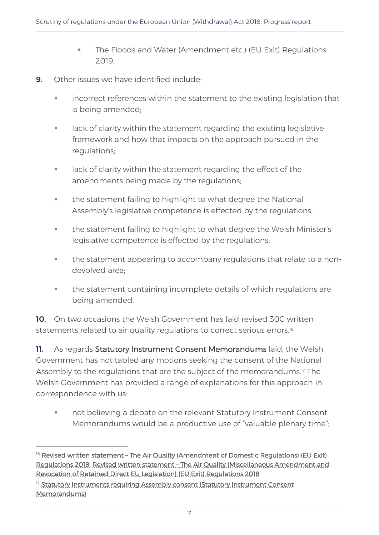- **The Floods and Water (Amendment etc.) (EU Exit) Regulations** 2019.
- 9. Other issues we have identified include:
	- incorrect references within the statement to the existing legislation that is being amended;
	- **•** lack of clarity within the statement regarding the existing legislative framework and how that impacts on the approach pursued in the regulations;
	- **•** lack of clarity within the statement regarding the effect of the amendments being made by the regulations;
	- **•** the statement failing to highlight to what degree the National Assembly's legislative competence is effected by the regulations;
	- **•** the statement failing to highlight to what degree the Welsh Minister's legislative competence is effected by the regulations;
	- **•** the statement appearing to accompany regulations that relate to a nondevolved area;
	- the statement containing incomplete details of which regulations are being amended.

10. On two occasions the Welsh Government has laid revised 30C written statements related to air quality regulations to correct serious errors. 16

11. As regards Statutory Instrument Consent Memorandums laid, the Welsh Government has not tabled any motions seeking the consent of the National Assembly to the regulations that are the subject of the memorandums. <sup>17</sup> The Welsh Government has provided a range of explanations for this approach in correspondence with us:

not believing a debate on the relevant Statutory Instrument Consent Memorandums would be a productive use of "valuable plenary time";

<sup>&</sup>lt;sup>16</sup> Revised written statement - The Air Quality (Amendment of Domestic Regulations) (EU Exit) [Regulations 2018;](http://www.senedd.assembly.wales/documents/s82451/WS-30C534%20-%20The%20Air%20Quality%20Amendment%20of%20Domestic%20Regulations%20EU%20Exit%20Regulations%202018%20REVISE.pdf) [Revised written statement – The Air Quality \(Miscellaneous Amendment and](http://www.senedd.assembly.wales/documents/s82452/WS-30C535%20-%20The%20Air%20Quality%20Miscellaneous%20Amendment%20and%20Revocation%20of%20Retained%20Direct%20EU%20Legislat.pdf)  [Revocation of Retained Direct EU Legislation\) \(EU Exit\) Regulations 2018](http://www.senedd.assembly.wales/documents/s82452/WS-30C535%20-%20The%20Air%20Quality%20Miscellaneous%20Amendment%20and%20Revocation%20of%20Retained%20Direct%20EU%20Legislat.pdf)

<sup>&</sup>lt;sup>17</sup> Statutory Instruments requiring Assembly consent (Statutory Instrument Consent [Memorandums\)](http://senedd.assembly.wales/mgIssueHistoryHome.aspx?IId=20457)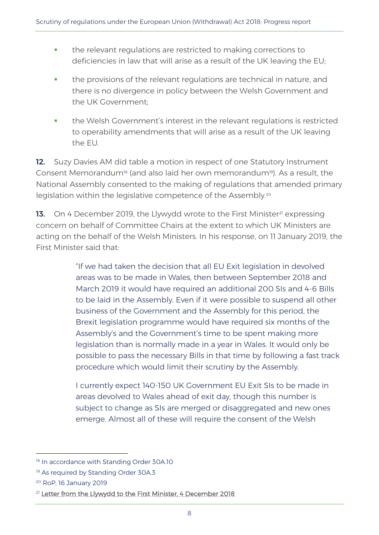- **•** the relevant regulations are restricted to making corrections to deficiencies in law that will arise as a result of the UK leaving the EU;
- **•** the provisions of the relevant regulations are technical in nature, and there is no divergence in policy between the Welsh Government and the UK Government;
- **•** the Welsh Government's interest in the relevant regulations is restricted to operability amendments that will arise as a result of the UK leaving the EU.

12. Suzy Davies AM did table a motion in respect of one Statutory Instrument Consent Memorandum<sup>18</sup> (and also laid her own memorandum<sup>19</sup>). As a result, the National Assembly consented to the making of regulations that amended primary legislation within the legislative competence of the Assembly.<sup>20</sup>

13. On 4 December 2019, the Llywydd wrote to the First Minister<sup>21</sup> expressing concern on behalf of Committee Chairs at the extent to which UK Ministers are acting on the behalf of the Welsh Ministers. In his response, on 11 January 2019, the First Minister said that:

> "If we had taken the decision that all EU Exit legislation in devolved areas was to be made in Wales, then between September 2018 and March 2019 it would have required an additional 200 SIs and 4-6 Bills to be laid in the Assembly. Even if it were possible to suspend all other business of the Government and the Assembly for this period, the Brexit legislation programme would have required six months of the Assembly's and the Government's time to be spent making more legislation than is normally made in a year in Wales. It would only be possible to pass the necessary Bills in that time by following a fast track procedure which would limit their scrutiny by the Assembly.

I currently expect 140-150 UK Government EU Exit SIs to be made in areas devolved to Wales ahead of exit day, though this number is subject to change as SIs are merged or disaggregated and new ones emerge. Almost all of these will require the consent of the Welsh

<sup>&</sup>lt;sup>18</sup> In accordance with Standing Order 30A.10

<sup>&</sup>lt;sup>19</sup> As required by Standing Order 30A.3

<sup>20</sup> RoP, 16 January 2019

<sup>&</sup>lt;sup>21</sup> [Letter from the Llywydd to the First Minister, 4 December 2018](http://senedd.assembly.wales/documents/s81953/CLA5-32-18%20-%20Paper%2048.pdf)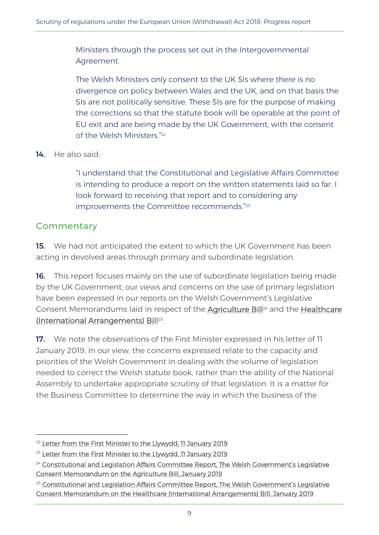Ministers through the process set out in the Intergovernmental Agreement.

The Welsh Ministers only consent to the UK SIs where there is no divergence on policy between Wales and the UK, and on that basis the SIs are not politically sensitive. These SIs are for the purpose of making the corrections so that the statute book will be operable at the point of EU exit and are being made by the UK Government, with the consent of the Welsh Ministers." 22

14. He also said:

"I understand that the Constitutional and Legislative Affairs Committee is intending to produce a report on the written statements laid so far. I look forward to receiving that report and to considering any improvements the Committee recommends." 23

#### **Commentary**

-

**15.** We had not anticipated the extent to which the UK Government has been acting in devolved areas through primary and subordinate legislation.

**16.** This report focuses mainly on the use of subordinate legislation being made by the UK Government; our views and concerns on the use of primary legislation have been expressed in our reports on the Welsh Government's Legislative Consent Memorandums laid in respect of the [Agriculture Bill](http://www.assembly.wales/laid%20documents/cr-ld12021/cr-ld12021-e.pdf)<sup>24</sup> and the Healthcare [\(International Arrangements\) Bill](http://www.assembly.wales/laid%20documents/cr-ld12062/cr-ld12062-e.pdf)<sup>25</sup> .

17. We note the observations of the First Minister expressed in his letter of 11 January 2019. In our view, the concerns expressed relate to the capacity and priorities of the Welsh Government in dealing with the volume of legislation needed to correct the Welsh statute book, rather than the ability of the National Assembly to undertake appropriate scrutiny of that legislation. It is a matter for the Business Committee to determine the way in which the business of the

<sup>&</sup>lt;sup>22</sup> [Letter from the First Minister to the Llywydd, 11 January 2019](http://senedd.assembly.wales/documents/s83632/CLA5-04-19%20-%20Paper%2017.pdf)

<sup>&</sup>lt;sup>23</sup> [Letter from the First Minister to the Llywydd, 11 January 2019](http://senedd.assembly.wales/documents/s83632/CLA5-04-19%20-%20Paper%2017.pdf)

<sup>&</sup>lt;sup>24</sup> Constitutional and Legislation Affairs Committee Report, The Welsh Covernment's Legislative [Consent Memorandum on the Agriculture Bill, January 2019](http://www.assembly.wales/laid%20documents/cr-ld12021/cr-ld12021-e.pdf)

<sup>&</sup>lt;sup>25</sup> Constitutional and Legislation Affairs Committee Report, The Welsh Government's Legislative [Consent Memorandum on the Healthcare \(International Arrangements\) Bill, January 2019](http://www.assembly.wales/laid%20documents/cr-ld12062/cr-ld12062-e.pdf)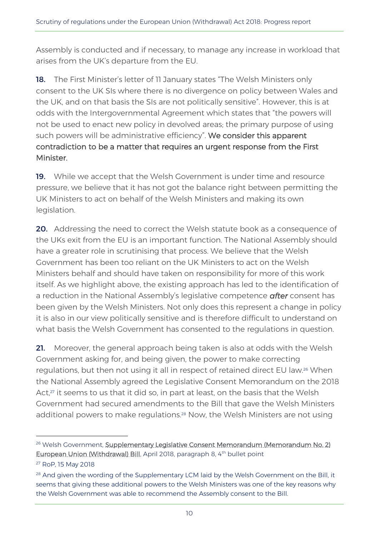Assembly is conducted and if necessary, to manage any increase in workload that arises from the UK's departure from the EU.

18. The First Minister's letter of 11 January states "The Welsh Ministers only consent to the UK SIs where there is no divergence on policy between Wales and the UK, and on that basis the SIs are not politically sensitive". However, this is at odds with the Intergovernmental Agreement which states that "the powers will not be used to enact new policy in devolved areas; the primary purpose of using such powers will be administrative efficiency". We consider this apparent contradiction to be a matter that requires an urgent response from the First Minister.

**19.** While we accept that the Welsh Government is under time and resource pressure, we believe that it has not got the balance right between permitting the UK Ministers to act on behalf of the Welsh Ministers and making its own legislation.

20. Addressing the need to correct the Welsh statute book as a consequence of the UKs exit from the EU is an important function. The National Assembly should have a greater role in scrutinising that process. We believe that the Welsh Government has been too reliant on the UK Ministers to act on the Welsh Ministers behalf and should have taken on responsibility for more of this work itself. As we highlight above, the existing approach has led to the identification of a reduction in the National Assembly's legislative competence *after* consent has been given by the Welsh Ministers. Not only does this represent a change in policy it is also in our view politically sensitive and is therefore difficult to understand on what basis the Welsh Government has consented to the regulations in question.

21. Moreover, the general approach being taken is also at odds with the Welsh Government asking for, and being given, the power to make correcting regulations, but then not using it all in respect of retained direct EU law.<sup>26</sup> When the National Assembly agreed the Legislative Consent Memorandum on the 2018 Act,<sup>27</sup> it seems to us that it did so, in part at least, on the basis that the Welsh Government had secured amendments to the Bill that gave the Welsh Ministers additional powers to make regulations.<sup>28</sup> Now, the Welsh Ministers are not using

1

<sup>&</sup>lt;sup>26</sup> Welsh Government, Supplementary Legislative Consent Memorandum (Memorandum No. 2) [European Union \(Withdrawal\) Bill,](http://www.assembly.wales/laid%20documents/lcm-ld11525/lcm-ld11525-e.pdf) April 2018, paragraph 8, 4<sup>th</sup> bullet point

<sup>27</sup> RoP, 15 May 2018

<sup>&</sup>lt;sup>28</sup> And given the wording of the Supplementary LCM laid by the Welsh Government on the Bill, it seems that giving these additional powers to the Welsh Ministers was one of the key reasons why the Welsh Government was able to recommend the Assembly consent to the Bill.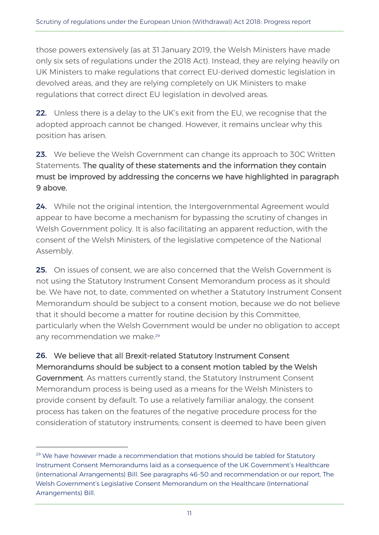those powers extensively (as at 31 January 2019, the Welsh Ministers have made only six sets of regulations under the 2018 Act). Instead, they are relying heavily on UK Ministers to make regulations that correct EU-derived domestic legislation in devolved areas, and they are relying completely on UK Ministers to make regulations that correct direct EU legislation in devolved areas.

22. Unless there is a delay to the UK's exit from the EU, we recognise that the adopted approach cannot be changed. However, it remains unclear why this position has arisen.

#### 23. We believe the Welsh Government can change its approach to 30C Written Statements. The quality of these statements and the information they contain must be improved by addressing the concerns we have highlighted in paragraph 9 above.

24. While not the original intention, the Intergovernmental Agreement would appear to have become a mechanism for bypassing the scrutiny of changes in Welsh Government policy. It is also facilitating an apparent reduction, with the consent of the Welsh Ministers, of the legislative competence of the National Assembly.

25. On issues of consent, we are also concerned that the Welsh Government is not using the Statutory Instrument Consent Memorandum process as it should be. We have not, to date, commented on whether a Statutory Instrument Consent Memorandum should be subject to a consent motion, because we do not believe that it should become a matter for routine decision by this Committee, particularly when the Welsh Government would be under no obligation to accept any recommendation we make. 29

26. We believe that all Brexit-related Statutory Instrument Consent Memorandums should be subject to a consent motion tabled by the Welsh Government. As matters currently stand, the Statutory Instrument Consent Memorandum process is being used as a means for the Welsh Ministers to provide consent by default. To use a relatively familiar analogy, the consent process has taken on the features of the negative procedure process for the consideration of statutory instruments; consent is deemed to have been given

 $29$  We have however made a recommendation that motions should be tabled for Statutory Instrument Consent Memorandums laid as a consequence of the UK Government's Healthcare (international Arrangements) Bill. See paragraphs 46-50 and recommendation or our report, The Welsh Government's Legislative Consent Memorandum on the Healthcare (International Arrangements) Bill.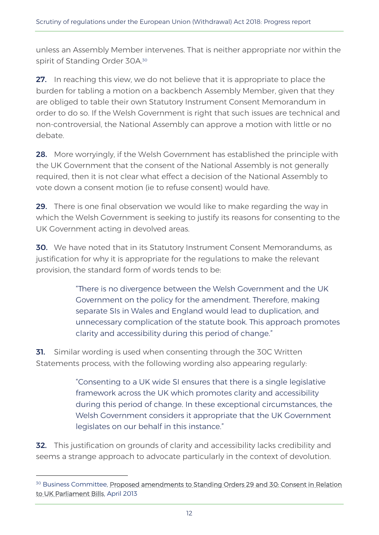unless an Assembly Member intervenes. That is neither appropriate nor within the spirit of Standing Order 30A.<sup>30</sup>

27. In reaching this view, we do not believe that it is appropriate to place the burden for tabling a motion on a backbench Assembly Member, given that they are obliged to table their own Statutory Instrument Consent Memorandum in order to do so. If the Welsh Government is right that such issues are technical and non-controversial, the National Assembly can approve a motion with little or no debate.

28. More worryingly, if the Welsh Government has established the principle with the UK Government that the consent of the National Assembly is not generally required, then it is not clear what effect a decision of the National Assembly to vote down a consent motion (ie to refuse consent) would have.

29. There is one final observation we would like to make regarding the way in which the Welsh Government is seeking to justify its reasons for consenting to the UK Government acting in devolved areas.

**30.** We have noted that in its Statutory Instrument Consent Memorandums, as justification for why it is appropriate for the regulations to make the relevant provision, the standard form of words tends to be:

> "There is no divergence between the Welsh Government and the UK Government on the policy for the amendment. Therefore, making separate SIs in Wales and England would lead to duplication, and unnecessary complication of the statute book. This approach promotes clarity and accessibility during this period of change."

**31.** Similar wording is used when consenting through the 30C Written Statements process, with the following wording also appearing regularly:

> "Consenting to a UK wide SI ensures that there is a single legislative framework across the UK which promotes clarity and accessibility during this period of change. In these exceptional circumstances, the Welsh Government considers it appropriate that the UK Government legislates on our behalf in this instance."

**32.** This justification on grounds of clarity and accessibility lacks credibility and seems a strange approach to advocate particularly in the context of devolution.

<sup>&</sup>lt;sup>30</sup> Business Committee, Proposed amendments to Standing Orders 29 and 30: Consent in Relation [to UK Parliament Bills,](http://senedd.assembly.wales/documents/s16745/24%20April%202013%20-%20Proposed%20amendments%20to%20Standing%20Orders%2029%20and%2030%20Consent%20in%20Relation%20to%20UK%20Parliame.pdf) April 2013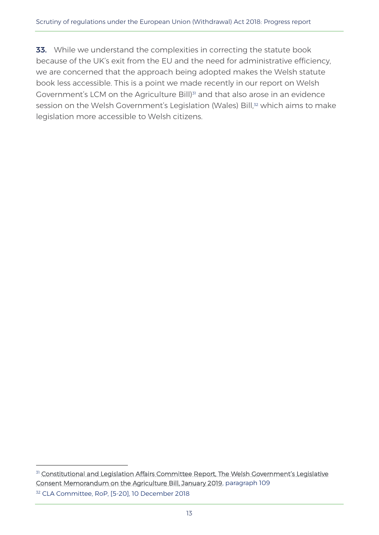33. While we understand the complexities in correcting the statute book because of the UK's exit from the EU and the need for administrative efficiency, we are concerned that the approach being adopted makes the Welsh statute book less accessible. This is a point we made recently in our report on Welsh Government's LCM on the Agriculture Bill)<sup>31</sup> and that also arose in an evidence session on the Welsh Government's Legislation (Wales) Bill,<sup>32</sup> which aims to make legislation more accessible to Welsh citizens.

<sup>&</sup>lt;sup>31</sup> Constitutional and Legislation Affairs Committee Report, The Welsh Government's Legislative [Consent Memorandum on the Agriculture Bill, January 2019,](http://www.assembly.wales/laid%20documents/cr-ld12021/cr-ld12021-e.pdf) paragraph 109 <sup>32</sup> CLA Committee, RoP, [5-20], 10 December 2018